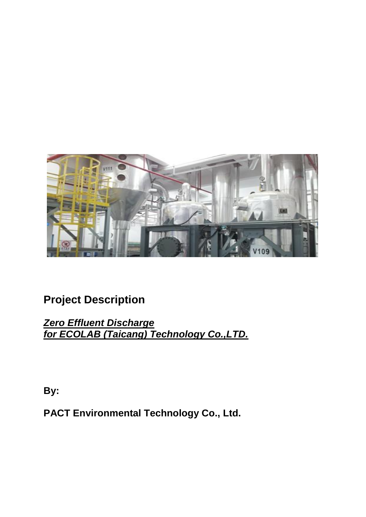

# **Project Description**

*Zero Effluent Discharge for ECOLAB (Taicang) Technology Co.,LTD.*

**By:**

**PACT Environmental Technology Co., Ltd.**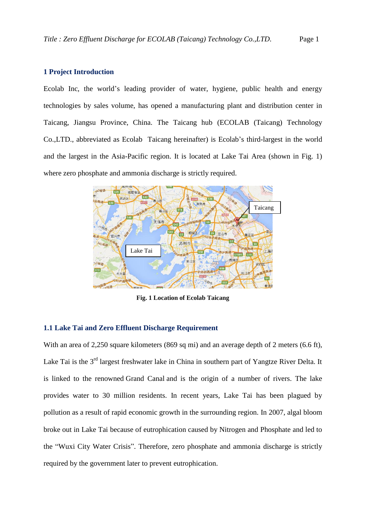## **1 Project Introduction**

Ecolab Inc, the world's leading provider of water, hygiene, public health and energy technologies by sales volume, has opened a manufacturing plant and distribution center in Taicang, Jiangsu Province, China. The Taicang hub (ECOLAB (Taicang) Technology Co.,LTD., abbreviated as Ecolab Taicang hereinafter) is Ecolab's third-largest in the world and the largest in the Asia-Pacific region. It is located at Lake Tai Area (shown in Fig. 1) where zero phosphate and ammonia discharge is strictly required.



**Fig. 1 Location of Ecolab Taicang**

## **1.1 Lake Tai and Zero Effluent Discharge Requirement**

With an area of 2,250 square kilometers (869 sq mi) and an average depth of 2 meters (6.6 ft), Lake Tai is the 3<sup>rd</sup> largest freshwater lake in China in southern part of Yangtze River Delta. It is linked to the renowned [Grand Canal](http://en.wikipedia.org/wiki/Grand_Canal_of_China) and is the origin of a number of rivers. The lake provides water to 30 million residents. In recent years, Lake Tai has been plagued by pollution as a result of rapid economic growth in the surrounding region. In 2007, algal bloom broke out in Lake Tai because of eutrophication caused by Nitrogen and Phosphate and led to the "Wuxi City Water Crisis". Therefore, zero phosphate and ammonia discharge is strictly required by the government later to prevent eutrophication.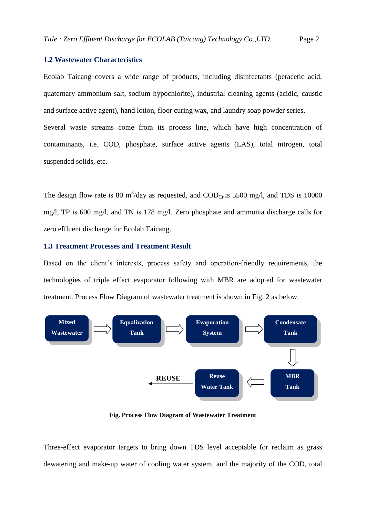## **1.2 Wastewater Characteristics**

Ecolab Taicang covers a wide range of products, including disinfectants (peracetic acid, quaternary ammonium salt, sodium hypochlorite), industrial cleaning agents (acidic, caustic and surface active agent), hand lotion, floor curing wax, and laundry soap powder series.

Several waste streams come from its process line, which have high concentration of contaminants, i.e. COD, phosphate, surface active agents (LAS), total nitrogen, total suspended solids, etc.

The design flow rate is 80 m<sup>3</sup>/day as requested, and  $\text{COD}_{\text{Cr}}$  is 5500 mg/l, and TDS is 10000 mg/l, TP is 600 mg/l, and TN is 178 mg/l. Zero phosphate and ammonia discharge calls for zero effluent discharge for Ecolab Taicang.

### **1.3 Treatment Processes and Treatment Result**

Based on the client's interests, process safety and operation-friendly requirements, the technologies of triple effect evaporator following with MBR are adopted for wastewater treatment. Process Flow Diagram of wastewater treatment is shown in Fig. 2 as below.



**Fig. Process Flow Diagram of Wastewater Treatment**

Three-effect evaporator targets to bring down TDS level acceptable for reclaim as grass dewatering and make-up water of cooling water system, and the majority of the COD, total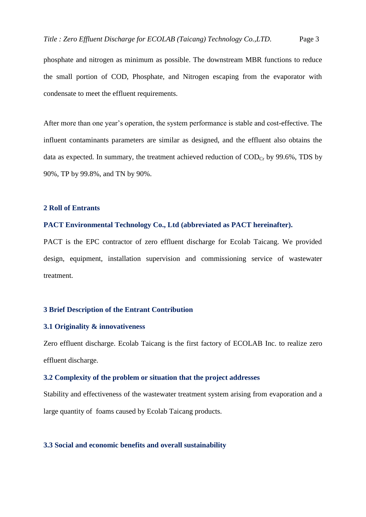phosphate and nitrogen as minimum as possible. The downstream MBR functions to reduce the small portion of COD, Phosphate, and Nitrogen escaping from the evaporator with condensate to meet the effluent requirements.

After more than one year's operation, the system performance is stable and cost-effective. The influent contaminants parameters are similar as designed, and the effluent also obtains the data as expected. In summary, the treatment achieved reduction of  $\text{COD}_{Cr}$  by 99.6%, TDS by 90%, TP by 99.8%, and TN by 90%.

## **2 Roll of Entrants**

## **PACT Environmental Technology Co., Ltd (abbreviated as PACT hereinafter).**

PACT is the EPC contractor of zero effluent discharge for Ecolab Taicang. We provided design, equipment, installation supervision and commissioning service of wastewater treatment.

#### **3 Brief Description of the Entrant Contribution**

## **3.1 Originality & innovativeness**

Zero effluent discharge. Ecolab Taicang is the first factory of ECOLAB Inc. to realize zero effluent discharge.

#### **3.2 Complexity of the problem or situation that the project addresses**

Stability and effectiveness of the wastewater treatment system arising from evaporation and a large quantity of foams caused by Ecolab Taicang products.

#### **3.3 Social and economic benefits and overall sustainability**